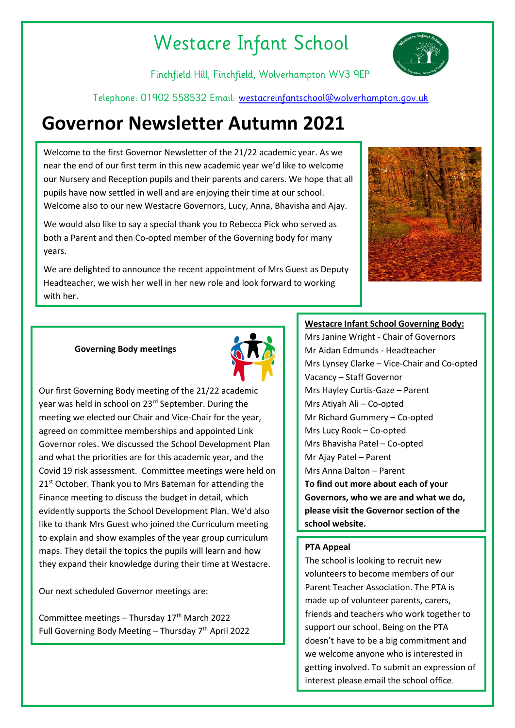# Westacre Infant School

Finchfield Hill, Finchfield, Wolverhampton WV3 9EP

Telephone: 01902 558532 Email: [westacreinfantschool@wolverhampton.gov.uk](mailto:westacreinfantschool@wolverhampton.gov.uk)

# **Governor Newsletter Autumn 2021**

Welcome to the first Governor Newsletter of the 21/22 academic year. As we near the end of our first term in this new academic year we'd like to welcome our Nursery and Reception pupils and their parents and carers. We hope that all pupils have now settled in well and are enjoying their time at our school. Welcome also to our new Westacre Governors, Lucy, Anna, Bhavisha and Ajay.

We would also like to say a special thank you to Rebecca Pick who served as both a Parent and then Co-opted member of the Governing body for many years.

We are delighted to announce the recent appointment of Mrs Guest as Deputy Headteacher, we wish her well in her new role and look forward to working with her.





Our first Governing Body meeting of the 21/22 academic year was held in school on 23 rd September. During the meeting we elected our Chair and Vice-Chair for the year, agreed on committee memberships and appointed Link Governor roles. We discussed the School Development Plan and what the priorities are for this academic year, and the Covid 19 risk assessment. Committee meetings were held on 21<sup>st</sup> October. Thank you to Mrs Bateman for attending the Finance meeting to discuss the budget in detail, which evidently supports the School Development Plan. We'd also like to thank Mrs Guest who joined the Curriculum meeting to explain and show examples of the year group curriculum maps. They detail the topics the pupils will learn and how they expand their knowledge during their time at Westacre.

Our next scheduled Governor meetings are:

**Governing Body meetings**

Committee meetings - Thursday  $17<sup>th</sup>$  March 2022 Full Governing Body Meeting – Thursday  $7<sup>th</sup>$  April 2022

# **Westacre Infant School Governing Body:**

Mrs Janine Wright - Chair of Governors Mr Aidan Edmunds - Headteacher Mrs Lynsey Clarke – Vice-Chair and Co-opted Vacancy – Staff Governor Mrs Hayley Curtis-Gaze – Parent Mrs Atiyah Ali – Co-opted Mr Richard Gummery – Co-opted Mrs Lucy Rook – Co-opted Mrs Bhavisha Patel – Co-opted Mr Ajay Patel – Parent Mrs Anna Dalton – Parent **To find out more about each of your Governors, who we are and what we do, please visit the Governor section of the school website.**

# **PTA Appeal**

The school is looking to recruit new volunteers to become members of our Parent Teacher Association. The PTA is made up of volunteer parents, carers, friends and teachers who work together to support our school. Being on the PTA doesn't have to be a big commitment and we welcome anyone who is interested in getting involved. To submit an expression of interest please email the school office.